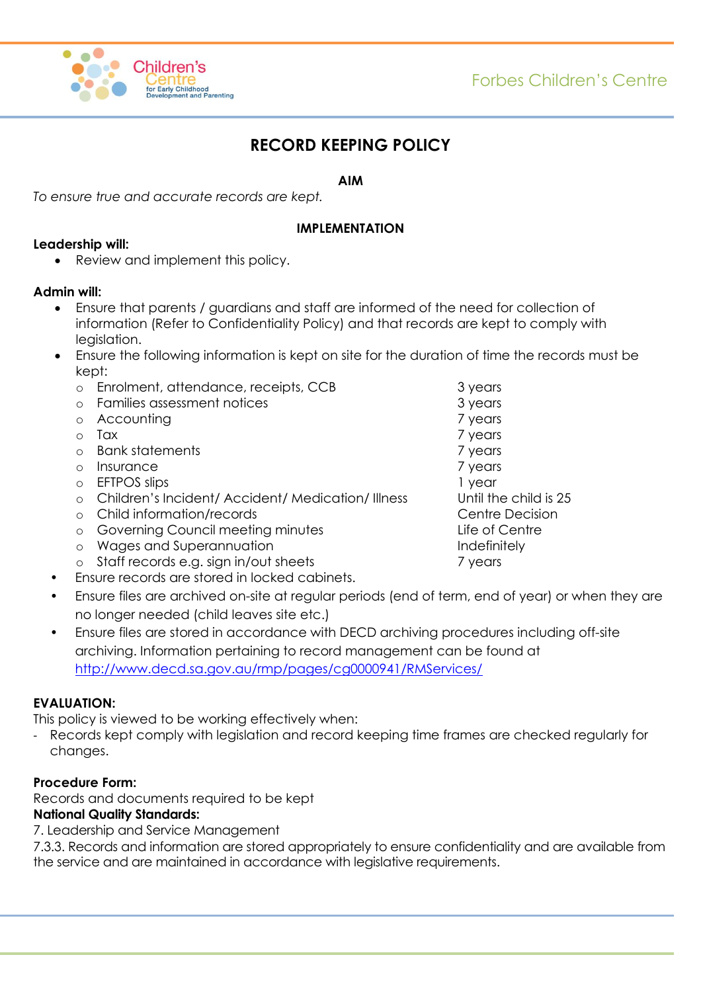



# **RECORD KEEPING POLICY**

### **AIM**

*To ensure true and accurate records are kept.*

### **IMPLEMENTATION**

### **Leadership will:**

Review and implement this policy.

### **Admin will:**

- Ensure that parents / guardians and staff are informed of the need for collection of information (Refer to Confidentiality Policy) and that records are kept to comply with legislation.
- Ensure the following information is kept on site for the duration of time the records must be kept:
	- o Enrolment, attendance, receipts, CCB 3 years
	- o Families assessment notices 3 years
	- o Accounting 7 years 7 years
	-
	- o Bank statements and  $\overline{7}$  years
	- o Insurance 7 years 2 years 2 years 2 years 2 years 2 years 2 years 2 years 2 years 2 years 2 years 2 years 2 years 2 years 2 years 2 years 2 years 2 years 2 years 2 years 2 years 2 years 2 years 2 years 2 years 2 years 2
	- o EFTPOS slips 1 year
	- o Children's Incident/ Accident/ Medication/ Illness Until the child is 25
	- o Child information/records Centre Decision
	- o Governing Council meeting minutes and Life of Centre
	- o Wages and Superannuation **Indefinitely**
	- o Staff records e.g. sign in/out sheets 7 years
- Ensure records are stored in locked cabinets.
- Ensure files are archived on-site at regular periods (end of term, end of year) or when they are no longer needed (child leaves site etc.)
- Ensure files are stored in accordance with DECD archiving procedures including off-site archiving. Information pertaining to record management can be found at <http://www.decd.sa.gov.au/rmp/pages/cg0000941/RMServices/>

### **EVALUATION:**

This policy is viewed to be working effectively when:

Records kept comply with legislation and record keeping time frames are checked regularly for changes.

# **Procedure Form:**

Records and documents required to be kept

# **National Quality Standards:**

7. Leadership and Service Management

7.3.3. Records and information are stored appropriately to ensure confidentiality and are available from the service and are maintained in accordance with legislative requirements.

o Tax 7 years